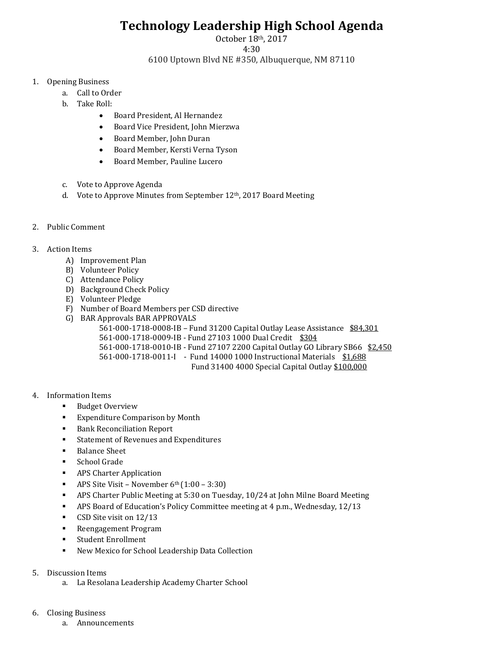## **Technology Leadership High School Agenda**

October 18th, 2017

4:30

6100 Uptown Blvd NE #350, Albuquerque, NM 87110

- 1. Opening Business
	- a. Call to Order
	- b. Take Roll:
		- Board President, Al Hernandez
		- Board Vice President, John Mierzwa
		- Board Member, John Duran
		- Board Member, Kersti Verna Tyson
		- Board Member, Pauline Lucero
	- c. Vote to Approve Agenda
	- d. Vote to Approve Minutes from September 12th, 2017 Board Meeting
- 2. Public Comment

## 3. Action Items

- A) Improvement Plan
- B) Volunteer Policy
- C) Attendance Policy
- D) Background Check Policy
- E) Volunteer Pledge
- F) Number of Board Members per CSD directive
- G) BAR Approvals BAR APPROVALS

561-000-1718-0008-IB – Fund 31200 Capital Outlay Lease Assistance \$84,301

561-000-1718-0009-IB - Fund 27103 1000 Dual Credit \$304

561-000-1718-0010-IB - Fund 27107 2200 Capital Outlay GO Library SB66 \$2,450

561-000-1718-0011-I - Fund 14000 1000 Instructional Materials \$1,688

Fund 31400 4000 Special Capital Outlay \$100,000

- 4. Information Items
	- Budget Overview
	- Expenditure Comparison by Month
	- Bank Reconciliation Report
	- Statement of Revenues and Expenditures
	- Balance Sheet
	- School Grade
	- APS Charter Application
	- **•** APS Site Visit November  $6<sup>th</sup>(1:00 3:30)$
	- APS Charter Public Meeting at 5:30 on Tuesday, 10/24 at John Milne Board Meeting
	- APS Board of Education's Policy Committee meeting at 4 p.m., Wednesday, 12/13
	- CSD Site visit on 12/13
	- Reengagement Program
	- Student Enrollment
	- New Mexico for School Leadership Data Collection
- 5. Discussion Items
	- a. La Resolana Leadership Academy Charter School
- 6. Closing Business
	- a. Announcements